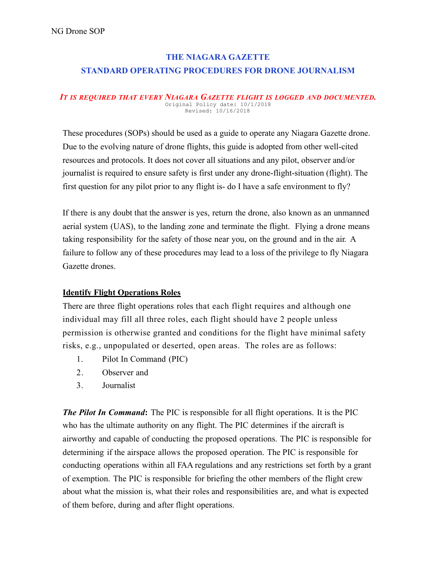# THE NIAGARA GAZETTE STANDARD OPERATING PROCEDURES FOR DRONE JOURNALISM

#### *IT IS REQUIRED THAT EVERY NIAGARA GAZETTE FLIGHT IS LOGGED AND DOCUMENTED.* Original Policy date: 10/1/2018 Revised: 10/16/2018

These procedures (SOPs) should be used as a guide to operate any Niagara Gazette drone. Due to the evolving nature of drone flights, this guide is adopted from other well-cited resources and protocols. It does not cover all situations and any pilot, observer and/or journalist is required to ensure safety is first under any drone-flight-situation (flight). The first question for any pilot prior to any flight is- do I have a safe environment to fly?

If there is any doubt that the answer is yes, return the drone, also known as an unmanned aerial system (UAS), to the landing zone and terminate the flight. Flying a drone means taking responsibility for the safety of those near you, on the ground and in the air. A failure to follow any of these procedures may lead to a loss of the privilege to fly Niagara Gazette drones.

### Identify Flight Operations Roles

There are three flight operations roles that each flight requires and although one individual may fill all three roles, each flight should have 2 people unless permission is otherwise granted and conditions for the flight have minimal safety risks, e.g., unpopulated or deserted, open areas. The roles are as follows:

- 1. Pilot In Command (PIC)
- 2. Observer and
- 3. Journalist

*The Pilot In Command*: The PIC is responsible for all flight operations. It is the PIC who has the ultimate authority on any flight. The PIC determines if the aircraft is airworthy and capable of conducting the proposed operations. The PIC is responsible for determining if the airspace allows the proposed operation. The PIC is responsible for conducting operations within all FAA regulations and any restrictions set forth by a grant of exemption. The PIC is responsible for briefing the other members of the flight crew about what the mission is, what their roles and responsibilities are, and what is expected of them before, during and after flight operations.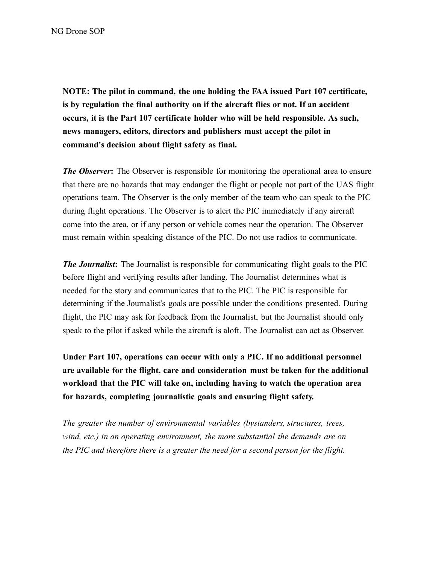NOTE: The pilot in command, the one holding the FAA issued Part 107 certificate, is by regulation the final authority on if the aircraft flies or not. If an accident occurs, it is the Part 107 certificate holder who will be held responsible. As such, news managers, editors, directors and publishers must accept the pilot in command's decision about flight safety as final.

*The Observer*: The Observer is responsible for monitoring the operational area to ensure that there are no hazards that may endanger the flight or people not part of the UAS flight operations team. The Observer is the only member of the team who can speak to the PIC during flight operations. The Observer is to alert the PIC immediately if any aircraft come into the area, or if any person or vehicle comes near the operation. The Observer must remain within speaking distance of the PIC. Do not use radios to communicate.

*The Journalist*: The Journalist is responsible for communicating flight goals to the PIC before flight and verifying results after landing. The Journalist determines what is needed for the story and communicates that to the PIC. The PIC is responsible for determining if the Journalist's goals are possible under the conditions presented. During flight, the PIC may ask for feedback from the Journalist, but the Journalist should only speak to the pilot if asked while the aircraft is aloft. The Journalist can act as Observer.

Under Part 107, operations can occur with only a PIC. If no additional personnel are available for the flight, care and consideration must be taken for the additional workload that the PIC will take on, including having to watch the operation area for hazards, completing journalistic goals and ensuring flight safety.

*The greater the number of environmental variables (bystanders, structures, trees, wind, etc.) in an operating environment, the more substantial the demands are on the PIC and therefore there is a greater the need for a second person for the flight.*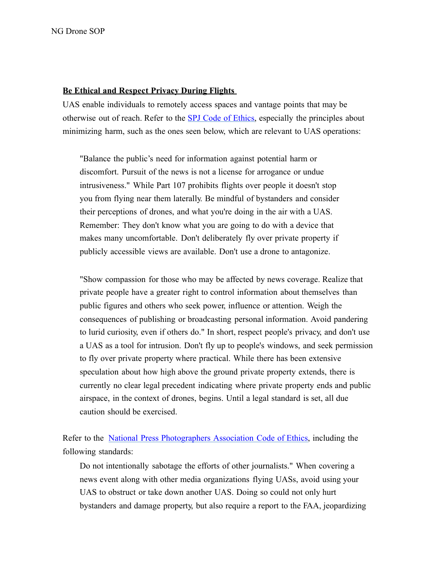#### Be Ethical and Respect Privacy During Flights

UAS enable individuals to remotely access spaces and vantage points that may be otherwise out of reach. Refer to the SPJ Code of [Ethics,](https://www.spj.org/ethicscode.asp) especially the principles about minimizing harm, such as the ones seen below, which are relevant to UAS operations:

"Balance the public's need for information against potential harm or discomfort. Pursuit of the news is not a license for arrogance or undue intrusiveness." While Part 107 prohibits flights over people it doesn't stop you from flying near them laterally. Be mindful of bystanders and consider their perceptions of drones, and what you're doing in the air with a UAS. Remember: They don't know what you are going to do with a device that makes many uncomfortable. Don't deliberately fly over private property if publicly accessible views are available. Don't use a drone to antagonize.

"Show compassion for those who may be affected by news coverage. Realize that private people have a greater right to control information about themselves than public figures and others who seek power, influence or attention. Weigh the consequences of publishing or broadcasting personal information. Avoid pandering to lurid curiosity, even if others do." In short, respect people's privacy, and don't use a UAS as a tool for intrusion. Don't fly up to people's windows, and seek permission to fly over private property where practical. While there has been extensive speculation about how high above the ground private property extends, there is currently no clear legal precedent indicating where private property ends and public airspace, in the context of drones, begins. Until a legal standard is set, all due caution should be exercised.

Refer to the National Press [Photographers](https://nppa.org/code_of_ethics) Association Code of Ethics, including the following standards:

Do not intentionally sabotage the efforts of other journalists." When covering a news event along with other media organizations flying UASs, avoid using your UAS to obstruct or take down another UAS. Doing so could not only hurt bystanders and damage property, but also require a report to the FAA, jeopardizing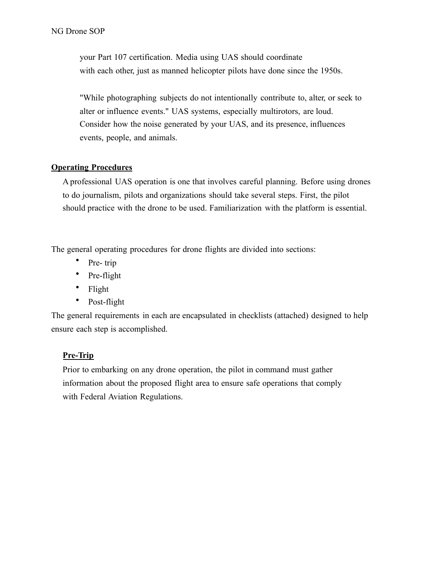your Part 107 certification. Media using UAS should coordinate with each other, just as manned helicopter pilots have done since the 1950s.

"While photographing subjects do not intentionally contribute to, alter, or seek to alter or influence events." UAS systems, especially multirotors, are loud. Consider how the noise generated by your UAS, and its presence, influences events, people, and animals.

### Operating Procedures

A professional UAS operation is one that involves careful planning. Before using drones to do journalism, pilots and organizations should take several steps. First, the pilot should practice with the drone to be used. Familiarization with the platform is essential.

The general operating procedures for drone flights are divided into sections:

- Pre-trip
- Pre-flight
- Flight
- Post-flight

The general requirements in each are encapsulated in checklists (attached) designed to help ensure each step is accomplished.

### Pre-Trip

Prior to embarking on any drone operation, the pilot in command must gather information about the proposed flight area to ensure safe operations that comply with Federal Aviation Regulations.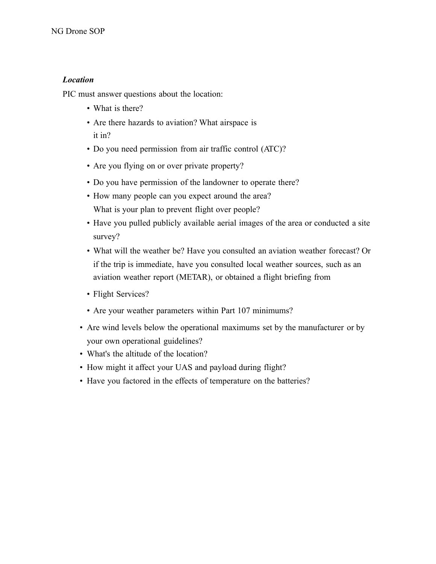### *Location*

PIC must answer questions about the location:

- What is there?
- Are there hazards to aviation? What airspace is it in?
- Do you need permission from air traffic control (ATC)?
- Are you flying on or over private property?
- Do you have permission of the landowner to operate there?
- How many people can you expect around the area? What is your plan to prevent flight over people?
- Have you pulled publicly available aerial images of the area or conducted a site survey?
- What will the weather be? Have you consulted an aviation weather forecast? Or if the trip is immediate, have you consulted local weather sources, such as an aviation weather report (METAR), or obtained a flight briefing from
- Flight Services?
- Are your weather parameters within Part 107 minimums?
- Are wind levels below the operational maximums set by the manufacturer or by your own operational guidelines?
- What's the altitude of the location?
- How might it affect your UAS and payload during flight?
- Have you factored in the effects of temperature on the batteries?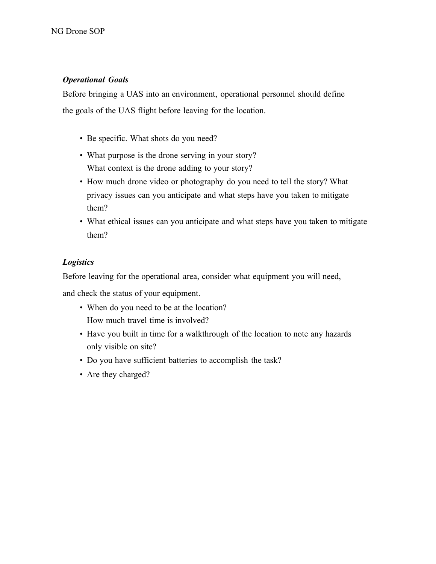### *Operational Goals*

Before bringing a UAS into an environment, operational personnel should define the goals of the UAS flight before leaving for the location.

- Be specific. What shots do you need?
- What purpose is the drone serving in your story? What context is the drone adding to your story?
- How much drone video or photography do you need to tell the story? What privacy issues can you anticipate and what steps have you taken to mitigate them?
- What ethical issues can you anticipate and what steps have you taken to mitigate them?

### *Logistics*

Before leaving for the operational area, consider what equipment you will need,

and check the status of your equipment.

- When do you need to be at the location? How much travel time is involved?
- Have you built in time for a walkthrough of the location to note any hazards only visible on site?
- Do you have sufficient batteries to accomplish the task?
- Are they charged?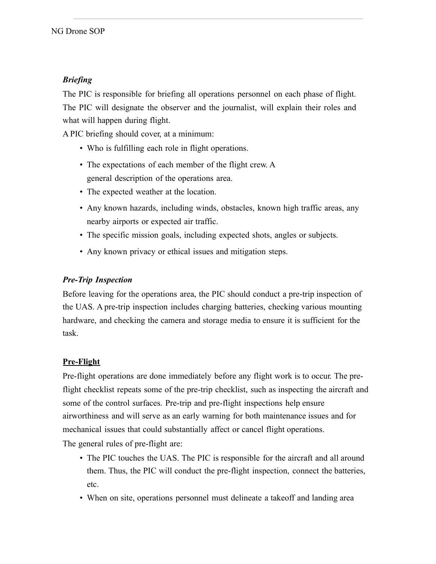## *Briefing*

The PIC is responsible for briefing all operations personnel on each phase of flight. The PIC will designate the observer and the journalist, will explain their roles and what will happen during flight.

A PIC briefing should cover, at a minimum:

- Who is fulfilling each role in flight operations.
- The expectations of each member of the flight crew. A general description of the operations area.
- The expected weather at the location.
- Any known hazards, including winds, obstacles, known high traffic areas, any nearby airports or expected air traffic.
- The specific mission goals, including expected shots, angles or subjects.
- Any known privacy or ethical issues and mitigation steps.

### *Pre-Trip Inspection*

Before leaving for the operations area, the PIC should conduct a pre-trip inspection of the UAS. A pre-trip inspection includes charging batteries, checking various mounting hardware, and checking the camera and storage media to ensure it is sufficient for the task.

### Pre-Flight

Pre-flight operations are done immediately before any flight work is to occur. The preflight checklist repeats some of the pre-trip checklist, such as inspecting the aircraft and some of the control surfaces. Pre-trip and pre-flight inspections help ensure airworthiness and will serve as an early warning for both maintenance issues and for mechanical issues that could substantially affect or cancel flight operations.

The general rules of pre-flight are:

- The PIC touches the UAS. The PIC is responsible for the aircraft and all around them. Thus, the PIC will conduct the pre-flight inspection, connect the batteries, etc.
- When on site, operations personnel must delineate a takeoff and landing area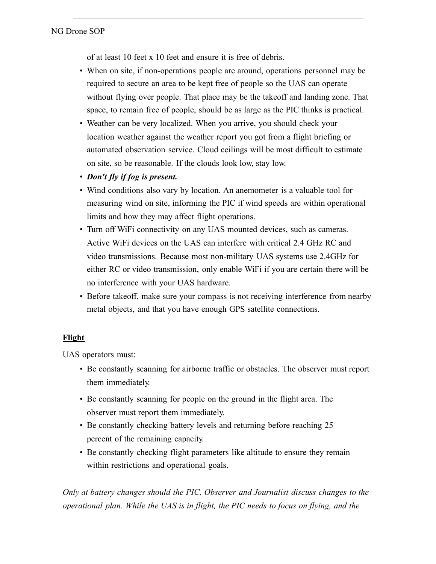of at least 10 feet x 10 feet and ensure it is free of debris.

- When on site, if non-operations people are around, operations personnel may be required to secure an area to be kept free of people so the UAS can operate without flying over people. That place may be the takeoff and landing zone. That space, to remain free of people, should be as large as the PIC thinks is practical.
- Weather can be very localized. When you arrive, you should check your location weather against the weather report you got from a flight briefing or automated observation service. Cloud ceilings will be most difficult to estimate on site, so be reasonable. If the clouds look low, stay low.
- *Don't fly if fog is present.*
- Wind conditions also vary by location. An anemometer is a valuable tool for measuring wind on site, informing the PIC if wind speeds are within operational limits and how they may affect flight operations.
- Turn off WiFi connectivity on any UAS mounted devices, such as cameras. Active WiFi devices on the UAS can interfere with critical 2.4 GHz RC and video transmissions. Because most non-military UAS systems use 2.4GHz for either RC or video transmission, only enable WiFi if you are certain there will be no interference with your UAS hardware.
- Before takeoff, make sure your compass is not receiving interference from nearby metal objects, and that you have enough GPS satellite connections.

### Flight

UAS operators must:

- Be constantly scanning for airborne traffic or obstacles. The observer must report them immediately.
- Be constantly scanning for people on the ground in the flight area. The observer must report them immediately.
- Be constantly checking battery levels and returning before reaching 25 percent of the remaining capacity.
- Be constantly checking flight parameters like altitude to ensure they remain within restrictions and operational goals.

*Only at battery changes should the PIC, Observer and Journalist discuss changes to the operational plan. While the UAS is in flight, the PIC needs to focus on flying, and the*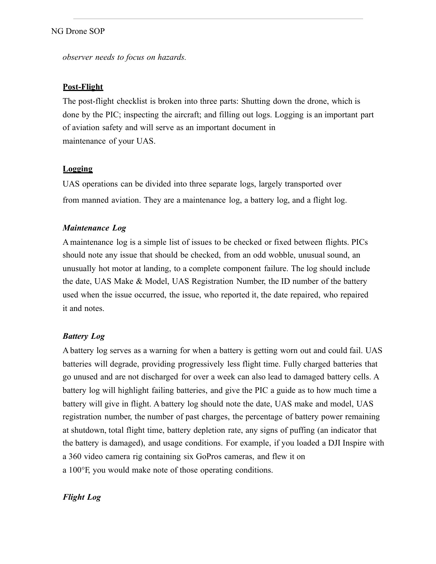#### NG Drone SOP

*observer needs to focus on hazards.* 

#### Post-Flight

The post-flight checklist is broken into three parts: Shutting down the drone, which is done by the PIC; inspecting the aircraft; and filling out logs. Logging is an important part of aviation safety and will serve as an important document in maintenance of your UAS.

#### Logging

UAS operations can be divided into three separate logs, largely transported over from manned aviation. They are a maintenance log, a battery log, and a flight log.

#### *Maintenance Log*

A maintenance log is a simple list of issues to be checked or fixed between flights. PICs should note any issue that should be checked, from an odd wobble, unusual sound, an unusually hot motor at landing, to a complete component failure. The log should include the date, UAS Make & Model, UAS Registration Number, the ID number of the battery used when the issue occurred, the issue, who reported it, the date repaired, who repaired it and notes.

#### *Battery Log*

A battery log serves as a warning for when a battery is getting worn out and could fail. UAS batteries will degrade, providing progressively less flight time. Fully charged batteries that go unused and are not discharged for over a week can also lead to damaged battery cells. A battery log will highlight failing batteries, and give the PIC a guide as to how much time a battery will give in flight. A battery log should note the date, UAS make and model, UAS registration number, the number of past charges, the percentage of battery power remaining at shutdown, total flight time, battery depletion rate, any signs of puffing (an indicator that the battery is damaged), and usage conditions. For example, if you loaded a DJI Inspire with a 360 video camera rig containing six GoPros cameras, and flew it on a 100°F, you would make note of those operating conditions.

#### *Flight Log*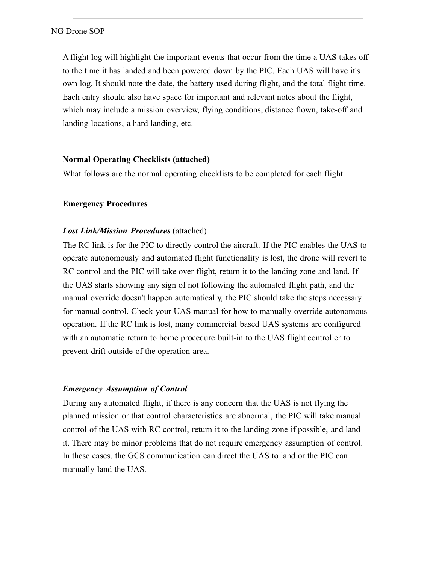#### NG Drone SOP

A flight log will highlight the important events that occur from the time a UAS takes off to the time it has landed and been powered down by the PIC. Each UAS will have it's own log. It should note the date, the battery used during flight, and the total flight time. Each entry should also have space for important and relevant notes about the flight, which may include a mission overview, flying conditions, distance flown, take-off and landing locations, a hard landing, etc.

#### Normal Operating Checklists (attached)

What follows are the normal operating checklists to be completed for each flight.

#### Emergency Procedures

#### *Lost Link/Mission Procedures* (attached)

The RC link is for the PIC to directly control the aircraft. If the PIC enables the UAS to operate autonomously and automated flight functionality is lost, the drone will revert to RC control and the PIC will take over flight, return it to the landing zone and land. If the UAS starts showing any sign of not following the automated flight path, and the manual override doesn't happen automatically, the PIC should take the steps necessary for manual control. Check your UAS manual for how to manually override autonomous operation. If the RC link is lost, many commercial based UAS systems are configured with an automatic return to home procedure built-in to the UAS flight controller to prevent drift outside of the operation area.

### *Emergency Assumption of Control*

During any automated flight, if there is any concern that the UAS is not flying the planned mission or that control characteristics are abnormal, the PIC will take manual control of the UAS with RC control, return it to the landing zone if possible, and land it. There may be minor problems that do not require emergency assumption of control. In these cases, the GCS communication can direct the UAS to land or the PIC can manually land the UAS.